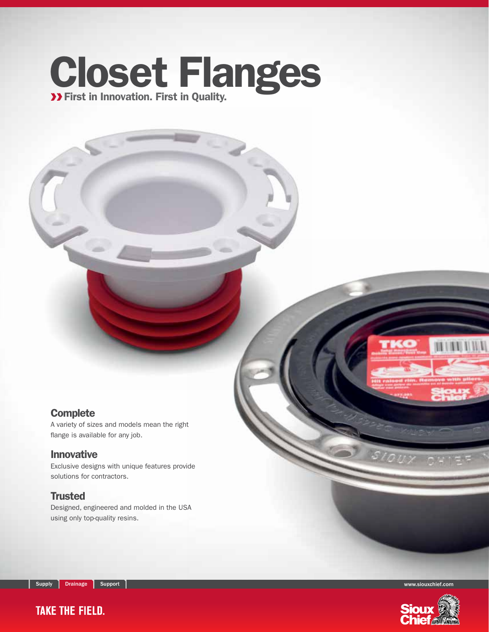## Closet Flanges First in Innovation. First in Quality.

#### **Complete**

A variety of sizes and models mean the right flange is available for any job.

#### Innovative

Exclusive designs with unique features provide solutions for contractors.

#### **Trusted**

Designed, engineered and molded in the USA using only top-quality resins.

Supply Drainage Support Support Support Support Support of the Support of the Support Support of the Support of

**TAKE THE FIELD.** 



**MINENNI**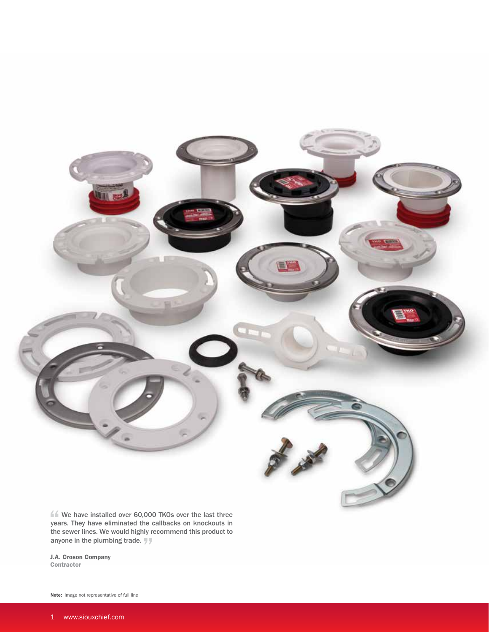

ff We have installed over 60,000 TKOs over the last three years. They have eliminated the callbacks on knockouts in the sewer lines. We would highly recommend this product to anyone in the plumbing trade.

J.A. Croson Company **Contractor** 

Note: Image not representative of full line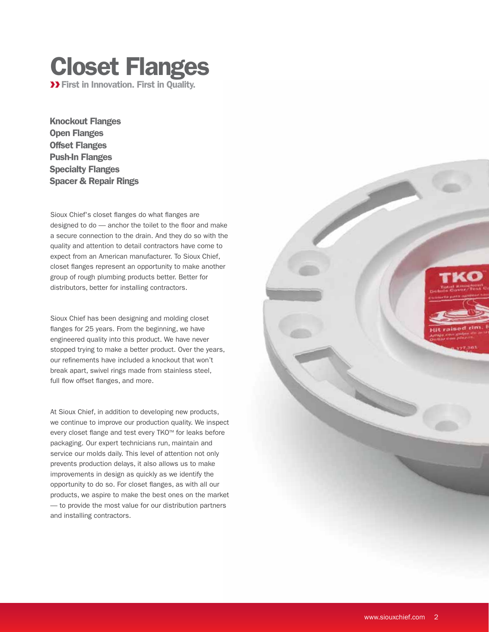### Closet Flanges **>> First in Innovation. First in Quality.**

Knockout Flanges Open Flanges Offset Flanges Push-In Flanges Specialty Flanges Spacer & Repair Rings

Sioux Chief's closet flanges do what flanges are designed to do — anchor the toilet to the floor and make a secure connection to the drain. And they do so with the quality and attention to detail contractors have come to expect from an American manufacturer. To Sioux Chief, closet flanges represent an opportunity to make another group of rough plumbing products better. Better for distributors, better for installing contractors.

Sioux Chief has been designing and molding closet flanges for 25 years. From the beginning, we have engineered quality into this product. We have never stopped trying to make a better product. Over the years, our refinements have included a knockout that won't break apart, swivel rings made from stainless steel, full flow offset flanges, and more.

At Sioux Chief, in addition to developing new products, we continue to improve our production quality. We inspect every closet flange and test every TKO™ for leaks before packaging. Our expert technicians run, maintain and service our molds daily. This level of attention not only prevents production delays, it also allows us to make improvements in design as quickly as we identify the opportunity to do so. For closet flanges, as with all our products, we aspire to make the best ones on the market — to provide the most value for our distribution partners and installing contractors.

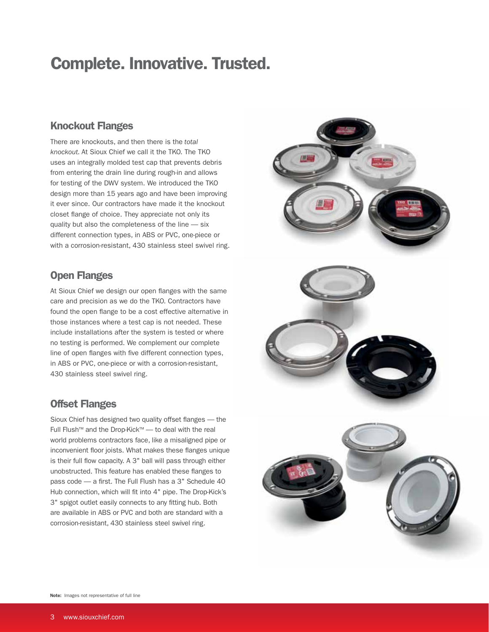## Complete. Innovative. Trusted.

#### Knockout Flanges

There are knockouts, and then there is the *total knockout.* At Sioux Chief we call it the TKO. The TKO uses an integrally molded test cap that prevents debris from entering the drain line during rough-in and allows for testing of the DWV system. We introduced the TKO design more than 15 years ago and have been improving it ever since. Our contractors have made it the knockout closet flange of choice. They appreciate not only its quality but also the completeness of the line — six different connection types, in ABS or PVC, one-piece or with a corrosion-resistant, 430 stainless steel swivel ring.

#### Open Flanges

At Sioux Chief we design our open flanges with the same care and precision as we do the TKO. Contractors have found the open flange to be a cost effective alternative in those instances where a test cap is not needed. These include installations after the system is tested or where no testing is performed. We complement our complete line of open flanges with five different connection types, in ABS or PVC, one-piece or with a corrosion-resistant, 430 stainless steel swivel ring.

#### Offset Flanges

Sioux Chief has designed two quality offset flanges — the Full Flush™ and the Drop-Kick™ — to deal with the real world problems contractors face, like a misaligned pipe or inconvenient floor joists. What makes these flanges unique is their full flow capacity. A 3" ball will pass through either unobstructed. This feature has enabled these flanges to pass code — a first. The Full Flush has a 3" Schedule 40 Hub connection, which will fit into 4" pipe. The Drop-Kick's 3" spigot outlet easily connects to any fitting hub. Both are available in ABS or PVC and both are standard with a corrosion-resistant, 430 stainless steel swivel ring.





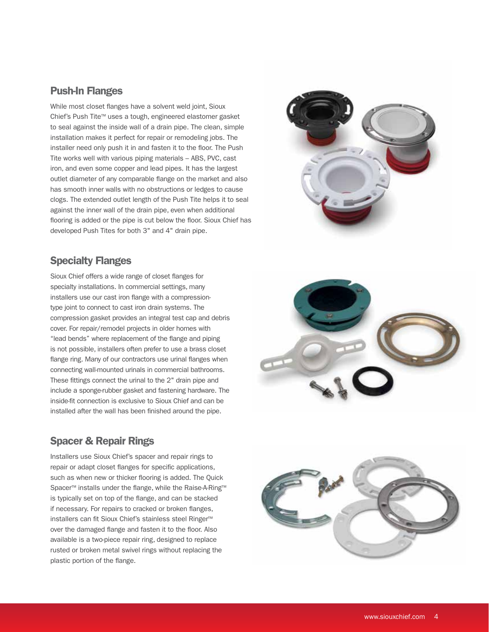#### Push-In Flanges

While most closet flanges have a solvent weld joint, Sioux Chief's Push Tite™ uses a tough, engineered elastomer gasket to seal against the inside wall of a drain pipe. The clean, simple installation makes it perfect for repair or remodeling jobs. The installer need only push it in and fasten it to the floor. The Push Tite works well with various piping materials – ABS, PVC, cast iron, and even some copper and lead pipes. It has the largest outlet diameter of any comparable flange on the market and also has smooth inner walls with no obstructions or ledges to cause clogs. The extended outlet length of the Push Tite helps it to seal against the inner wall of the drain pipe, even when additional flooring is added or the pipe is cut below the floor. Sioux Chief has developed Push Tites for both 3" and 4" drain pipe.

#### Specialty Flanges

Sioux Chief offers a wide range of closet flanges for specialty installations. In commercial settings, many installers use our cast iron flange with a compressiontype joint to connect to cast iron drain systems. The compression gasket provides an integral test cap and debris cover. For repair/remodel projects in older homes with "lead bends" where replacement of the flange and piping is not possible, installers often prefer to use a brass closet flange ring. Many of our contractors use urinal flanges when connecting wall-mounted urinals in commercial bathrooms. These fittings connect the urinal to the 2" drain pipe and include a sponge-rubber gasket and fastening hardware. The inside-fit connection is exclusive to Sioux Chief and can be installed after the wall has been finished around the pipe.

#### Spacer & Repair Rings

Installers use Sioux Chief's spacer and repair rings to repair or adapt closet flanges for specific applications, such as when new or thicker flooring is added. The Quick Spacer<sup>™</sup> installs under the flange, while the Raise-A-Ring<sup>™</sup> is typically set on top of the flange, and can be stacked if necessary. For repairs to cracked or broken flanges, installers can fit Sioux Chief's stainless steel Ringer™ over the damaged flange and fasten it to the floor. Also available is a two-piece repair ring, designed to replace rusted or broken metal swivel rings without replacing the plastic portion of the flange.





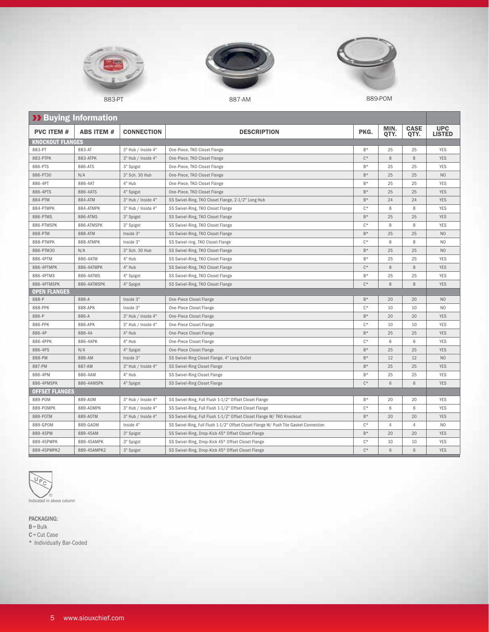





883-PT 887-AM 887-AM 887-AM 889-POM

| <b>XX Buying Information</b> |                   |                    |                                                                                       |                |              |                     |                             |
|------------------------------|-------------------|--------------------|---------------------------------------------------------------------------------------|----------------|--------------|---------------------|-----------------------------|
| <b>PVC ITEM #</b>            | <b>ABS ITEM #</b> | <b>CONNECTION</b>  | <b>DESCRIPTION</b>                                                                    | PKG.           | MIN.<br>QTY. | <b>CASE</b><br>QTY. | <b>UPC</b><br><b>LISTED</b> |
| KNOCKOUT FLANGES             |                   |                    |                                                                                       |                |              |                     |                             |
| 883-PT                       | 883-AT            | 3" Hub / Inside 4" | One-Piece, TKO Closet Flange                                                          | $B*$           | 25           | 25                  | <b>YES</b>                  |
| 883-PTPK                     | 883-ATPK          | 3" Hub / Inside 4" | One-Piece, TKO Closet Flange                                                          | $C^*$          | 8            | 8                   | <b>YES</b>                  |
| 886-PTS                      | 886-ATS           | 3" Spigot          | One-Piece, TKO Closet Flange                                                          | $B*$           | 25           | 25                  | <b>YES</b>                  |
| 886-PT30                     | N/A               | 3" Sch. 30 Hub     | One-Piece, TKO Closet Flange                                                          | $B*$           | 25           | 25                  | N <sub>0</sub>              |
| 886-4PT                      | 886-4AT           | 4" Hub             | One-Piece, TKO Closet Flange                                                          | B*             | 25           | 25                  | <b>YES</b>                  |
| 886-4PTS                     | 886-4ATS          | 4" Spigot          | One-Piece, TKO Closet Flange                                                          | $B*$           | 25           | 25                  | <b>YES</b>                  |
| 884-PTM                      | 884-ATM           | 3" Hub / Inside 4" | SS Swivel-Ring, TKO Closet Flange, 2-1/2" Long Hub                                    | $B*$           | 24           | 24                  | <b>YES</b>                  |
| 884-PTMPK                    | 884-ATMPK         | 3" Hub / Inside 4" | SS Swivel-Ring, TKO Closet Flange                                                     | $C^*$          | 8            | 8                   | <b>YES</b>                  |
| 886-PTMS                     | 886-ATMS          | 3" Spigot          | SS Swivel-Ring, TKO Closet Flange                                                     | $B*$           | 25           | 25                  | <b>YES</b>                  |
| 886-PTMSPK                   | 886-ATMSPK        | 3" Spigot          | SS Swivel-Ring, TKO Closet Flange                                                     | $C^*$          | 8            | 8                   | <b>YES</b>                  |
| 888-PTM                      | 888-ATM           | Inside 3"          | SS Swivel-Ring, TKO Closet Flange                                                     | $B*$           | 25           | 25                  | N <sub>O</sub>              |
| 888-PTMPK                    | 888-ATMPK         | Inside 3"          | SS Swivel-ring, TKO Closet Flange                                                     | $\mathsf{C}^*$ | 8            | 8                   | N <sub>O</sub>              |
| 886-PTM30                    | N/A               | 3" Sch. 30 Hub     | SS Swivel-Ring, TKO Closet Flange                                                     | $B*$           | 25           | 25                  | N <sub>O</sub>              |
| 886-4PTM                     | 886-4ATM          | 4" Hub             | SS Swivel-Ring, TKO Closet Flange                                                     | $B*$           | 25           | 25                  | <b>YES</b>                  |
| 886-4PTMPK                   | 886-4ATMPK        | 4" Hub             | SS Swivel-Ring, TKO Closet Flange                                                     | $C^*$          | 8            | 8                   | <b>YES</b>                  |
| 886-4PTMS                    | 886-4ATMS         | 4" Spigot          | SS Swivel-Ring, TKO Closet Flange                                                     | $B*$           | 25           | 25                  | <b>YES</b>                  |
| 886-4PTMSPK                  | 886-4ATMSPK       | 4" Spigot          | SS Swivel-Ring, TKO Closet Flange                                                     | $C^*$          | 8            | 8                   | <b>YES</b>                  |
| <b>OPEN FLANGES</b>          |                   |                    |                                                                                       |                |              |                     |                             |
| 888-P                        | 888-A             | Inside 3"          | One-Piece Closet Flange                                                               | $B*$           | 20           | 20                  | N <sub>O</sub>              |
| 888-PPK                      | 888-APK           | Inside 3"          | One-Piece Closet Flange                                                               | $C^*$          | 10           | 10                  | N <sub>O</sub>              |
| 886-P                        | 886-A             | 3" Hub / Inside 4" | One-Piece Closet Flange                                                               | $B*$           | 20           | 20                  | <b>YES</b>                  |
| 886-PPK                      | 886-APK           | 3" Hub / Inside 4" | One-Piece Closet Flange                                                               | $C^*$          | 10           | 10                  | <b>YES</b>                  |
| 886-4P                       | 886-4A            | 4" Hub             | One-Piece Closet Flange                                                               | $B*$           | 25           | 25                  | <b>YES</b>                  |
| 886-4PPK                     | 886-4APK          | 4" Hub             | One-Piece Closet Flange                                                               | $\mathsf{C}^*$ | 6            | 6                   | <b>YES</b>                  |
| 886-4PS                      | N/A               | 4" Spigot          | One-Piece Closet Flange                                                               | $B*$           | 25           | 25                  | <b>YES</b>                  |
| 888-PM                       | 888-AM            | Inside 3"          | SS Swivel-Ring Closet Flange, 4" Long Outlet                                          | $B*$           | 12           | 12                  | N <sub>O</sub>              |
| 887-PM                       | 887-AM            | 3" Hub / Inside 4" | SS Swivel-Ring Closet Flange                                                          | $B*$           | 25           | 25                  | <b>YES</b>                  |
| 886-4PM                      | 886-4AM           | 4" Hub             | SS Swivel-Ring Closet Flange                                                          | $B*$           | 25           | 25                  | <b>YES</b>                  |
| 886-4PMSPK                   | 886-4AMSPK        | 4" Spigot          | SS Swivel-Ring Closet Flange                                                          | $C^*$          | 6            | 6                   | <b>YES</b>                  |
| <b>OFFSET FLANGES</b>        |                   |                    |                                                                                       |                |              |                     |                             |
| 889-POM                      | 889-AOM           | 3" Hub / Inside 4" | SS Swivel-Ring, Full Flush 1-1/2" Offset Closet Flange                                | $B*$           | 20           | 20                  | <b>YES</b>                  |
| 889-POMPK                    | 889-AOMPK         | 3" Hub / Inside 4" | SS Swivel-Ring, Full Flush 1-1/2" Offset Closet Flange                                | $\mathsf{C}^*$ | 6            | 6                   | <b>YES</b>                  |
| 889-POTM                     | 889-A0TM          | 3" Hub / Inside 4" | SS Swivel-Ring, Full Flush 1-1/2" Offset Closet Flange W/ TKO Knockout                | $B*$           | 20           | 20                  | <b>YES</b>                  |
| 889-GPOM                     | 889-GAOM          | Inside 4"          | SS Swivel-Ring, Full Flush 1-1/2" Offset Closet Flange W/ Push Tite Gasket Connection | $C^*$          | 4            | 4                   | N <sub>0</sub>              |
| 889-45PM                     | 889-45AM          | 3" Spigot          | SS Swivel-Ring, Drop-Kick 45° Offset Closet Flange                                    | $B*$           | 20           | 20                  | <b>YES</b>                  |
| 889-45PMPK                   | 889-45AMPK        | 3" Spigot          | SS Swivel-Ring, Drop-Kick 45° Offset Closet Flange                                    | $C^*$          | 10           | 10                  | <b>YES</b>                  |
| 889-45PMPK2                  | 889-45AMPK2       | 3" Spigot          | SS Swivel-Ring, Drop-Kick 45° Offset Closet Flange                                    | $C^*$          | 6            | 6                   | <b>YES</b>                  |



Indicated in above column

PACKAGING:

B= Bulk C= Cut Case

\* Individually Bar-Coded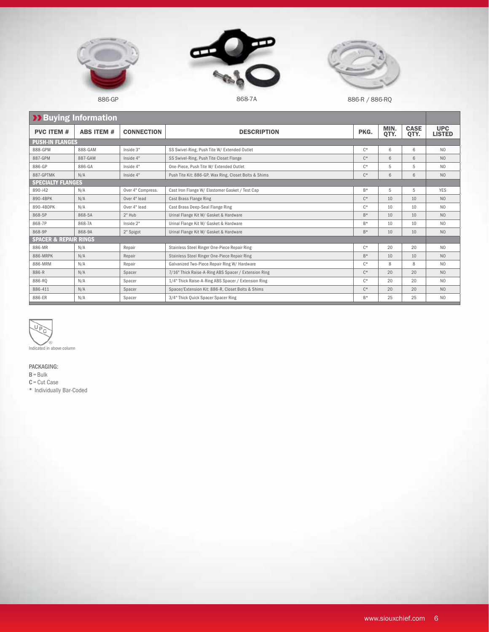





886-GP 886-R / 886-R / 886-R / 886-R / 886-R / 886-R / 886-R / 886-R / 886-R / 886-R / 886-R / 886-R / 886-R /

UPC LISTED

| <b>&gt;&gt; Buying Information</b> |                          |                   |                                                       |       |              |                     |                          |
|------------------------------------|--------------------------|-------------------|-------------------------------------------------------|-------|--------------|---------------------|--------------------------|
| <b>PVC ITEM #</b>                  | <b>ABS ITEM #</b>        | <b>CONNECTION</b> | <b>DESCRIPTION</b>                                    | PKG.  | MIN.<br>QTY. | <b>CASE</b><br>QTY. | <b>UP</b><br><b>LIST</b> |
|                                    | <b>PUSH-IN FLANGES</b>   |                   |                                                       |       |              |                     |                          |
| 888-GPM                            | 888-GAM                  | Inside 3"         | SS Swivel-Ring, Push Tite W/ Extended Outlet          | $C^*$ | 6            | 6                   | <b>NC</b>                |
| 887-GPM                            | 887-GAM                  | Inside 4"         | SS Swivel-Ring, Push Tite Closet Flange               | $C^*$ | 6            | 6                   | <b>NC</b>                |
| 886-GP                             | 886-GA                   | Inside 4"         | One-Piece, Push Tite W/ Extended Outlet               | $C^*$ | 5            | 5                   | <b>NC</b>                |
| 887-GPTMK                          | N/A                      | Inside 4"         | Push Tite Kit: 886-GP, Wax Ring, Closet Bolts & Shims | $C^*$ | 6            | 6                   | <b>NC</b>                |
|                                    | <b>SPECIALTY FLANGES</b> |                   |                                                       |       |              |                     |                          |
| 890-i42                            | N/A                      | Over 4" Compress. | Cast Iron Flange W/ Elastomer Gasket / Test Cap       | $B*$  | 5            | 5                   | YES                      |
| 890-4BPK                           | N/A                      | Over 4" lead      | Cast Brass Flange Ring                                | $C^*$ | 10           | 10                  | <b>NC</b>                |
| 890-4BDPK                          | N/A                      | Over 4" lead      | Cast Brass Deep-Seal Flange Ring                      | $C^*$ | 10           | 10                  | <b>NC</b>                |
| 868-5P                             | 868-5A                   | $2"$ Hub          | Urinal Flange Kit W/ Gasket & Hardware                | $B*$  | 10           | 10 <sup>1</sup>     | <b>NC</b>                |
| 868-7P                             | 868-7A                   | Inside 2"         | Urinal Flange Kit W/ Gasket & Hardware                | $B*$  | 10           | 10 <sup>1</sup>     | <b>NC</b>                |
| 868-9P                             | 868-9A                   | 2" Spigot         | Urinal Flange Kit W/ Gasket & Hardware                | $B*$  | 10           | 10                  | <b>NC</b>                |
| <b>SPACER &amp; REPAIR RINGS</b>   |                          |                   |                                                       |       |              |                     |                          |
| 886-MR                             | N/A                      | Repair            | Stainless Steel Ringer One-Piece Repair Ring          | $C^*$ | 20           | 20                  | <b>NC</b>                |

| 2 F 5 7 6 7 F F 6 1 M 2 5 2 |        |                   |                                                      |       |    |    |                |
|-----------------------------|--------|-------------------|------------------------------------------------------|-------|----|----|----------------|
| 890-i42                     | N/A    | Over 4" Compress. | Cast Iron Flange W/ Elastomer Gasket / Test Cap      | $B*$  | 5  | 5  | <b>YES</b>     |
| 890-4BPK                    | N/A    | Over 4" lead      | Cast Brass Flange Ring                               | $C^*$ | 10 | 10 | N <sub>O</sub> |
| 890-4BDPK                   | N/A    | Over 4" lead      | Cast Brass Deep-Seal Flange Ring                     | $C^*$ | 10 | 10 | N <sub>0</sub> |
| 868-5P                      | 868-5A | $2"$ Hub          | Urinal Flange Kit W/ Gasket & Hardware               | $B*$  | 10 | 10 | N <sub>O</sub> |
| 868-7P                      | 868-7A | Inside 2"         | Urinal Flange Kit W/ Gasket & Hardware               | $B*$  | 10 | 10 | N <sub>0</sub> |
| 868-9P                      | 868-9A | 2" Spigot         | Urinal Flange Kit W/ Gasket & Hardware               | $B*$  | 10 | 10 | N <sub>O</sub> |
| SPACER & REPAIR RINGS       |        |                   |                                                      |       |    |    |                |
| 886-MR                      | N/A    | Repair            | Stainless Steel Ringer One-Piece Repair Ring         | $C*$  | 20 | 20 | N <sub>0</sub> |
| 886-MRPK                    | N/A    | Repair            | Stainless Steel Ringer One-Piece Repair Ring         | $B*$  | 10 | 10 | N <sub>O</sub> |
| 886-MRM                     | N/A    | Repair            | Galvanized Two-Piece Repair Ring W/ Hardware         | $C^*$ | 8  | 8  | N <sub>0</sub> |
| 886-R                       | N/A    | Spacer            | 7/16" Thick Raise-A-Ring ABS Spacer / Extension Ring | $C^*$ | 20 | 20 | N <sub>O</sub> |
| 886-RO                      | N/A    | Spacer            | 1/4" Thick Raise-A-Ring ABS Spacer / Extension Ring  | $C^*$ | 20 | 20 | N <sub>O</sub> |
| 886-411                     | N/A    | Spacer            | Spacer/Extension Kit: 886-R, Closet Bolts & Shims    | $C^*$ | 20 | 20 | N <sub>O</sub> |
| 886-ER                      | N/A    | Spacer            | 3/4" Thick Quick Spacer Spacer Ring                  | $B*$  | 25 | 25 | N <sub>0</sub> |



PACKAGING:

 $B = Bulk$ C= Cut Case

\* Individually Bar-Coded